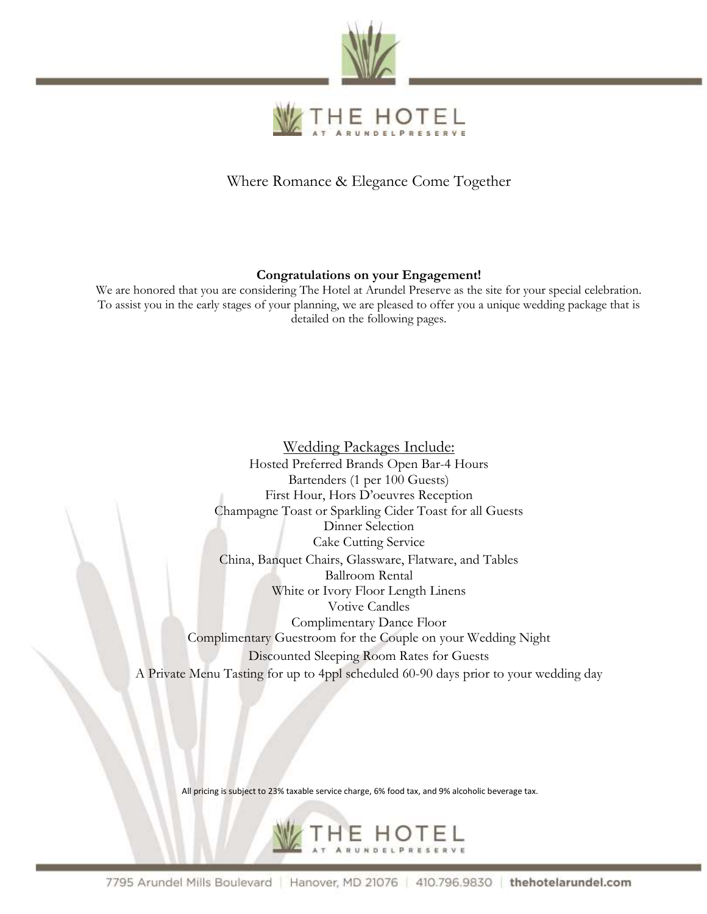



Where Romance & Elegance Come Together

### **Congratulations on your Engagement!**

We are honored that you are considering The Hotel at Arundel Preserve as the site for your special celebration. To assist you in the early stages of your planning, we are pleased to offer you a unique wedding package that is detailed on the following pages.

Wedding Packages Include: Hosted Preferred Brands Open Bar-4 Hours Bartenders (1 per 100 Guests) First Hour, Hors D'oeuvres Reception Champagne Toast or Sparkling Cider Toast for all Guests Dinner Selection Cake Cutting Service China, Banquet Chairs, Glassware, Flatware, and Tables Ballroom Rental White or Ivory Floor Length Linens Votive Candles Complimentary Dance Floor Complimentary Guestroom for the Couple on your Wedding Night Discounted Sleeping Room Rates for Guests A Private Menu Tasting for up to 4ppl scheduled 60-90 days prior to your wedding day

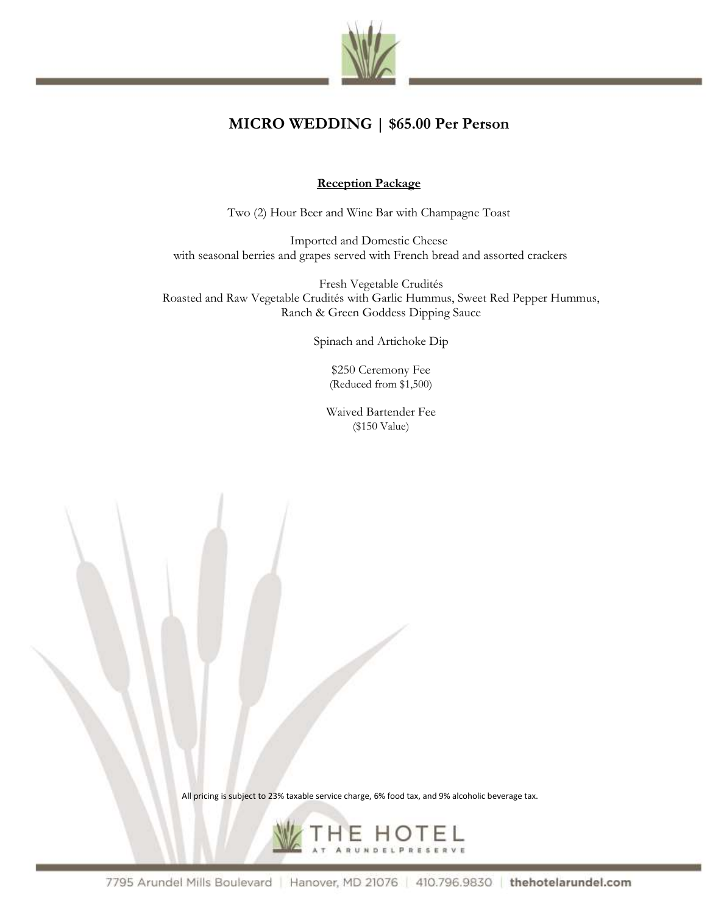

# **MICRO WEDDING | \$65.00 Per Person**

### **Reception Package**

Two (2) Hour Beer and Wine Bar with Champagne Toast

Imported and Domestic Cheese with seasonal berries and grapes served with French bread and assorted crackers

Fresh Vegetable Crudités Roasted and Raw Vegetable Crudités with Garlic Hummus, Sweet Red Pepper Hummus, Ranch & Green Goddess Dipping Sauce

Spinach and Artichoke Dip

\$250 Ceremony Fee (Reduced from \$1,500)

Waived Bartender Fee (\$150 Value)

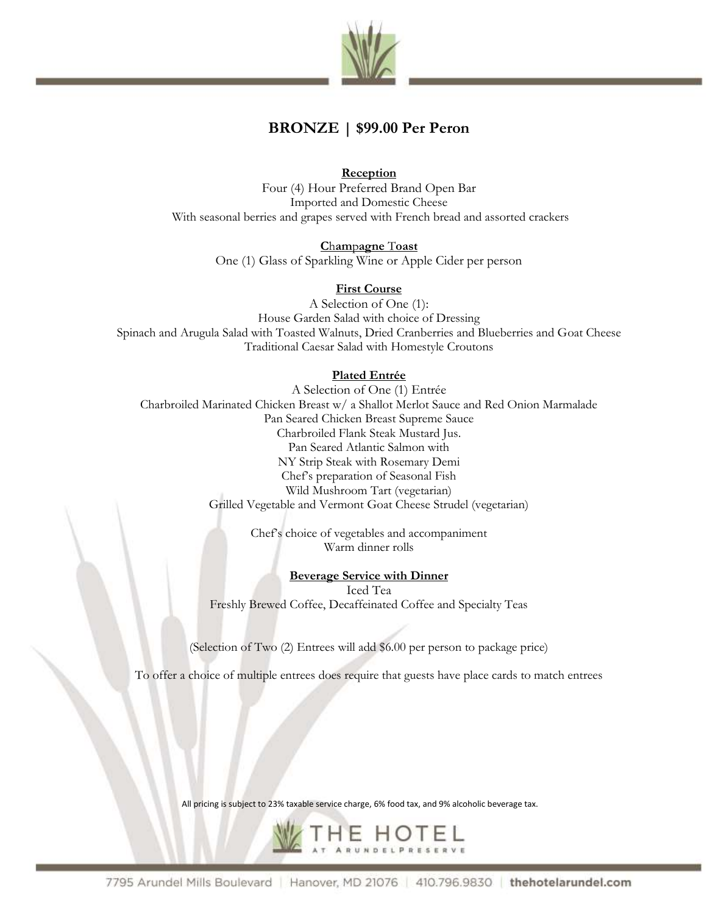

## **BRONZE | \$99.00 Per Peron**

**Reception** Four (4) Hour Preferred Brand Open Bar Imported and Domestic Cheese With seasonal berries and grapes served with French bread and assorted crackers

> **C**h**am**p**agne** T**oast** One (1) Glass of Sparkling Wine or Apple Cider per person

### **First Course**

A Selection of One (1): House Garden Salad with choice of Dressing Spinach and Arugula Salad with Toasted Walnuts, Dried Cranberries and Blueberries and Goat Cheese Traditional Caesar Salad with Homestyle Croutons

### **Plated Entrée**

A Selection of One (1) Entrée Charbroiled Marinated Chicken Breast w/ a Shallot Merlot Sauce and Red Onion Marmalade Pan Seared Chicken Breast Supreme Sauce Charbroiled Flank Steak Mustard Jus. Pan Seared Atlantic Salmon with NY Strip Steak with Rosemary Demi Chef's preparation of Seasonal Fish Wild Mushroom Tart (vegetarian) Grilled Vegetable and Vermont Goat Cheese Strudel (vegetarian)

> Chef's choice of vegetables and accompaniment Warm dinner rolls

### **Beverage Service with Dinner**

Iced Tea Freshly Brewed Coffee, Decaffeinated Coffee and Specialty Teas

(Selection of Two (2) Entrees will add \$6.00 per person to package price)

To offer a choice of multiple entrees does require that guests have place cards to match entrees

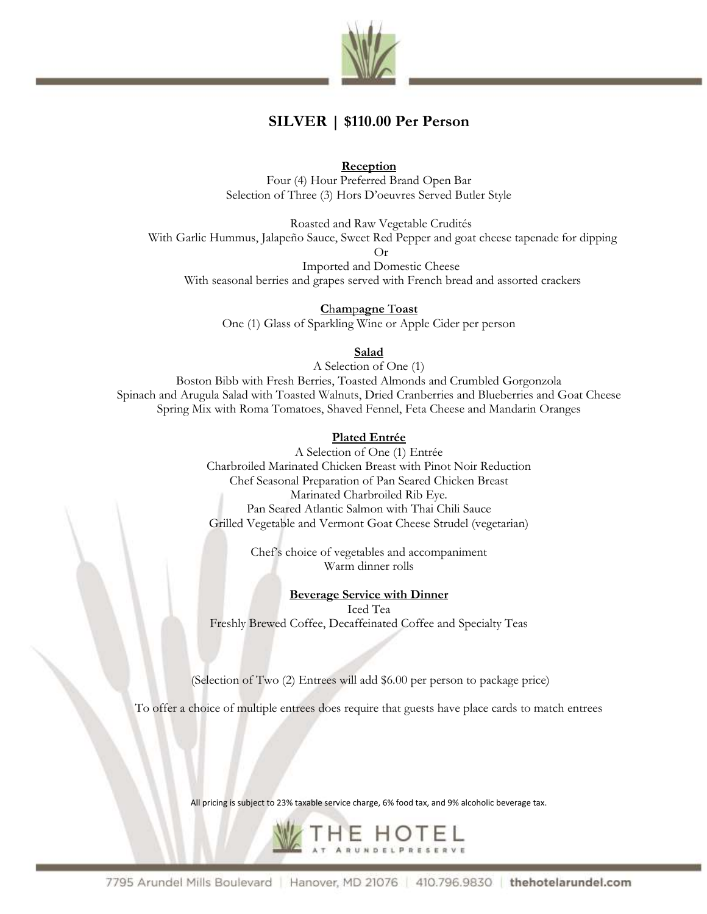

## **SILVER | \$110.00 Per Person**

**Reception**

Four (4) Hour Preferred Brand Open Bar Selection of Three (3) Hors D'oeuvres Served Butler Style

Roasted and Raw Vegetable Crudités With Garlic Hummus, Jalapeño Sauce, Sweet Red Pepper and goat cheese tapenade for dipping Or Imported and Domestic Cheese

With seasonal berries and grapes served with French bread and assorted crackers

**C**h**am**p**agne** T**oast** One (1) Glass of Sparkling Wine or Apple Cider per person

**Salad**

A Selection of One (1)

Boston Bibb with Fresh Berries, Toasted Almonds and Crumbled Gorgonzola Spinach and Arugula Salad with Toasted Walnuts, Dried Cranberries and Blueberries and Goat Cheese Spring Mix with Roma Tomatoes, Shaved Fennel, Feta Cheese and Mandarin Oranges

#### **Plated Entrée**

A Selection of One (1) Entrée Charbroiled Marinated Chicken Breast with Pinot Noir Reduction Chef Seasonal Preparation of Pan Seared Chicken Breast Marinated Charbroiled Rib Eye. Pan Seared Atlantic Salmon with Thai Chili Sauce Grilled Vegetable and Vermont Goat Cheese Strudel (vegetarian)

> Chef's choice of vegetables and accompaniment Warm dinner rolls

> > **Beverage Service with Dinner**

Iced Tea Freshly Brewed Coffee, Decaffeinated Coffee and Specialty Teas

(Selection of Two (2) Entrees will add \$6.00 per person to package price)

To offer a choice of multiple entrees does require that guests have place cards to match entrees

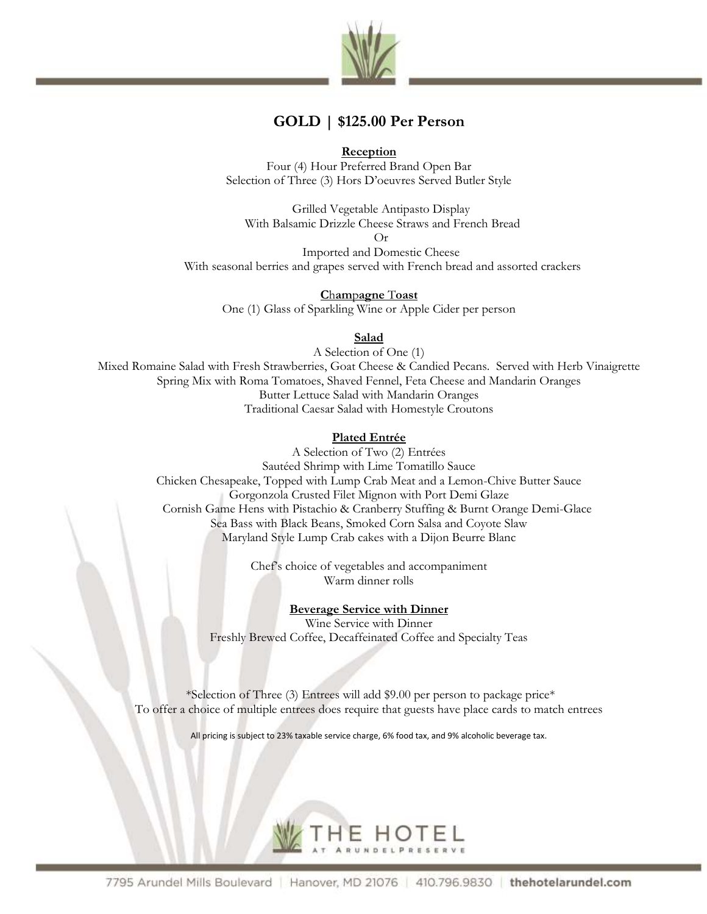

## **GOLD | \$125.00 Per Person**

**Reception**

Four (4) Hour Preferred Brand Open Bar Selection of Three (3) Hors D'oeuvres Served Butler Style

Grilled Vegetable Antipasto Display With Balsamic Drizzle Cheese Straws and French Bread

Or

Imported and Domestic Cheese With seasonal berries and grapes served with French bread and assorted crackers

**C**h**am**p**agne** T**oast** One (1) Glass of Sparkling Wine or Apple Cider per person

**Salad**

A Selection of One (1) Mixed Romaine Salad with Fresh Strawberries, Goat Cheese & Candied Pecans. Served with Herb Vinaigrette Spring Mix with Roma Tomatoes, Shaved Fennel, Feta Cheese and Mandarin Oranges Butter Lettuce Salad with Mandarin Oranges Traditional Caesar Salad with Homestyle Croutons

### **Plated Entrée**

A Selection of Two (2) Entrées Sautéed Shrimp with Lime Tomatillo Sauce Chicken Chesapeake, Topped with Lump Crab Meat and a Lemon-Chive Butter Sauce Gorgonzola Crusted Filet Mignon with Port Demi Glaze Cornish Game Hens with Pistachio & Cranberry Stuffing & Burnt Orange Demi-Glace Sea Bass with Black Beans, Smoked Corn Salsa and Coyote Slaw Maryland Style Lump Crab cakes with a Dijon Beurre Blanc

> Chef's choice of vegetables and accompaniment Warm dinner rolls

## **Beverage Service with Dinner**

Wine Service with Dinner Freshly Brewed Coffee, Decaffeinated Coffee and Specialty Teas

\*Selection of Three (3) Entrees will add \$9.00 per person to package price\* To offer a choice of multiple entrees does require that guests have place cards to match entrees